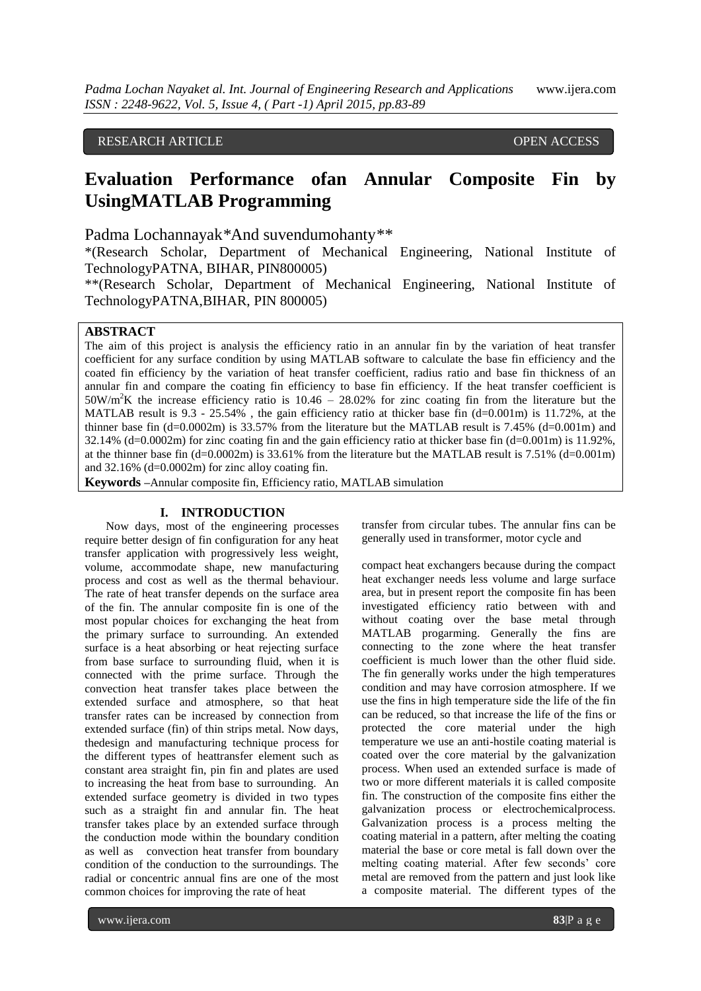# RESEARCH ARTICLE OPEN ACCESS

# **Evaluation Performance ofan Annular Composite Fin by UsingMATLAB Programming**

Padma Lochannayak*\**And suvendumohanty*\*\**

\*(Research Scholar, Department of Mechanical Engineering, National Institute of TechnologyPATNA, BIHAR, PIN800005)

\*\*(Research Scholar, Department of Mechanical Engineering, National Institute of TechnologyPATNA,BIHAR, PIN 800005)

# **ABSTRACT**

The aim of this project is analysis the efficiency ratio in an annular fin by the variation of heat transfer coefficient for any surface condition by using MATLAB software to calculate the base fin efficiency and the coated fin efficiency by the variation of heat transfer coefficient, radius ratio and base fin thickness of an annular fin and compare the coating fin efficiency to base fin efficiency. If the heat transfer coefficient is  $50W/m<sup>2</sup>K$  the increase efficiency ratio is  $10.46 - 28.02\%$  for zinc coating fin from the literature but the MATLAB result is  $9.3 - 25.54\%$ , the gain efficiency ratio at thicker base fin (d=0.001m) is 11.72%, at the thinner base fin  $(d=0.0002m)$  is 33.57% from the literature but the MATLAB result is 7.45%  $(d=0.001m)$  and 32.14% (d=0.0002m) for zinc coating fin and the gain efficiency ratio at thicker base fin  $(d=0.001m)$  is 11.92%, at the thinner base fin  $(d=0.0002m)$  is 33.61% from the literature but the MATLAB result is 7.51%  $(d=0.001m)$ and  $32.16\%$  (d=0.0002m) for zinc alloy coating fin.

**Keywords –**Annular composite fin, Efficiency ratio, MATLAB simulation

# **I. INTRODUCTION**

Now days, most of the engineering processes require better design of fin configuration for any heat transfer application with progressively less weight, volume, accommodate shape, new manufacturing process and cost as well as the thermal behaviour. The rate of heat transfer depends on the surface area of the fin. The annular composite fin is one of the most popular choices for exchanging the heat from the primary surface to surrounding. An extended surface is a heat absorbing or heat rejecting surface from base surface to surrounding fluid, when it is connected with the prime surface. Through the convection heat transfer takes place between the extended surface and atmosphere, so that heat transfer rates can be increased by connection from extended surface (fin) of thin strips metal. Now days, thedesign and manufacturing technique process for the different types of heattransfer element such as constant area straight fin, pin fin and plates are used to increasing the heat from base to surrounding. An extended surface geometry is divided in two types such as a straight fin and annular fin. The heat transfer takes place by an extended surface through the conduction mode within the boundary condition as well as convection heat transfer from boundary condition of the conduction to the surroundings. The radial or concentric annual fins are one of the most common choices for improving the rate of heat

transfer from circular tubes. The annular fins can be generally used in transformer, motor cycle and

compact heat exchangers because during the compact heat exchanger needs less volume and large surface area, but in present report the composite fin has been investigated efficiency ratio between with and without coating over the base metal through MATLAB progarming. Generally the fins are connecting to the zone where the heat transfer coefficient is much lower than the other fluid side. The fin generally works under the high temperatures condition and may have corrosion atmosphere. If we use the fins in high temperature side the life of the fin can be reduced, so that increase the life of the fins or protected the core material under the high temperature we use an anti-hostile coating material is coated over the core material by the galvanization process. When used an extended surface is made of two or more different materials it is called composite fin. The construction of the composite fins either the galvanization process or electrochemicalprocess. Galvanization process is a process melting the coating material in a pattern, after melting the coating material the base or core metal is fall down over the melting coating material. After few seconds' core metal are removed from the pattern and just look like a composite material. The different types of the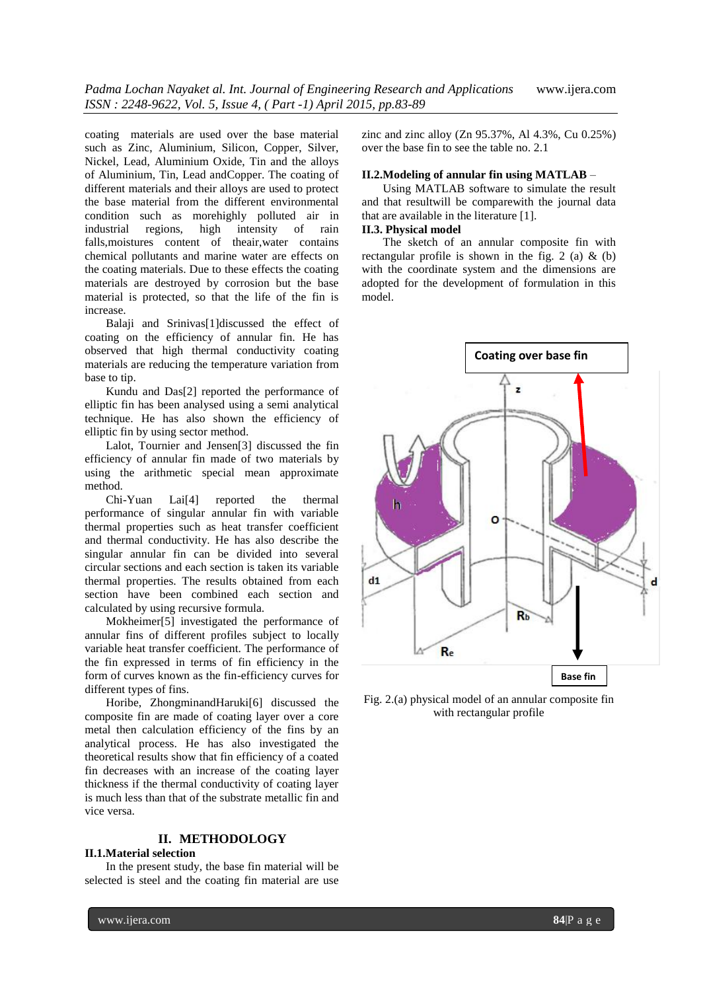coating materials are used over the base material such as Zinc, Aluminium, Silicon, Copper, Silver, Nickel, Lead, Aluminium Oxide, Tin and the alloys of Aluminium, Tin, Lead andCopper. The coating of different materials and their alloys are used to protect the base material from the different environmental condition such as morehighly polluted air in industrial regions, high intensity of rain falls,moistures content of theair,water contains chemical pollutants and marine water are effects on the coating materials. Due to these effects the coating materials are destroyed by corrosion but the base material is protected, so that the life of the fin is increase.

Balaji and Srinivas<sup>[1]</sup>discussed the effect of coating on the efficiency of annular fin. He has observed that high thermal conductivity coating materials are reducing the temperature variation from base to tip.

Kundu and Das[2] reported the performance of elliptic fin has been analysed using a semi analytical technique. He has also shown the efficiency of elliptic fin by using sector method.

Lalot, Tournier and Jensen[3] discussed the fin efficiency of annular fin made of two materials by using the arithmetic special mean approximate method.

Chi-Yuan Lai[4] reported the thermal performance of singular annular fin with variable thermal properties such as heat transfer coefficient and thermal conductivity. He has also describe the singular annular fin can be divided into several circular sections and each section is taken its variable thermal properties. The results obtained from each section have been combined each section and calculated by using recursive formula.

Mokheimer[5] investigated the performance of annular fins of different profiles subject to locally variable heat transfer coefficient. The performance of the fin expressed in terms of fin efficiency in the form of curves known as the fin-efficiency curves for different types of fins.

Horibe, ZhongminandHaruki[6] discussed the composite fin are made of coating layer over a core metal then calculation efficiency of the fins by an analytical process. He has also investigated the theoretical results show that fin efficiency of a coated fin decreases with an increase of the coating layer thickness if the thermal conductivity of coating layer is much less than that of the substrate metallic fin and vice versa.

# **II. METHODOLOGY**

### **II.1.Material selection**

In the present study, the base fin material will be selected is steel and the coating fin material are use zinc and zinc alloy (Zn 95.37%, Al 4.3%, Cu 0.25%) over the base fin to see the table no. 2.1

### **II.2.Modeling of annular fin using MATLAB** –

Using MATLAB software to simulate the result and that resultwill be comparewith the journal data that are available in the literature [1]. **II.3. Physical model** 

The sketch of an annular composite fin with rectangular profile is shown in the fig. 2 (a)  $\&$  (b) with the coordinate system and the dimensions are adopted for the development of formulation in this model.



Fig. 2.(a) physical model of an annular composite fin with rectangular profile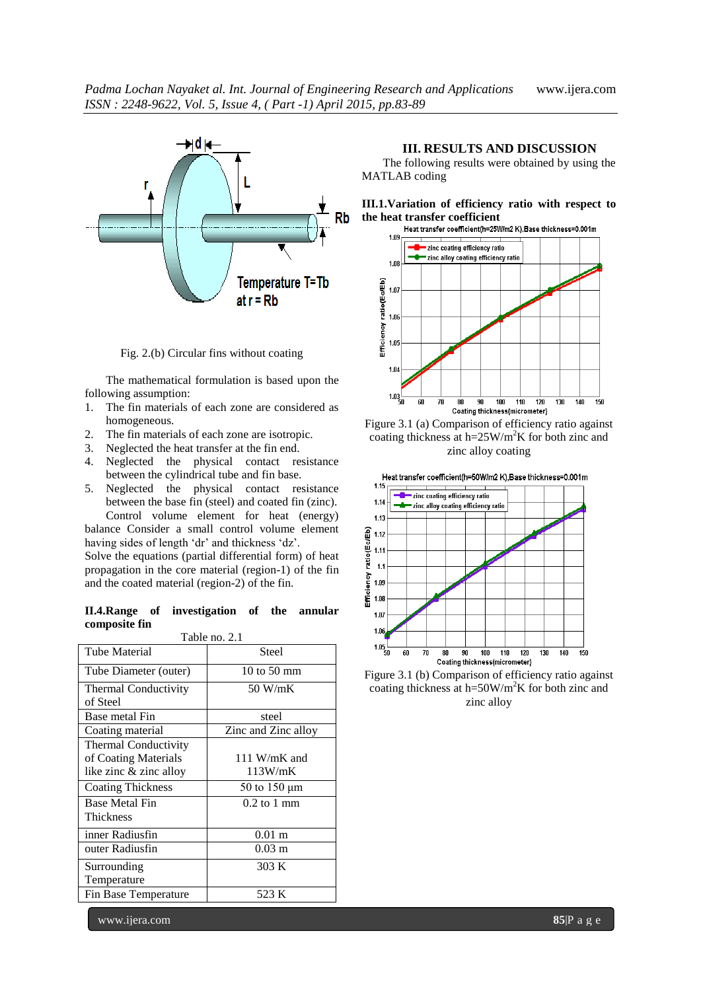

Fig. 2.(b) Circular fins without coating

The mathematical formulation is based upon the following assumption:

- 1. The fin materials of each zone are considered as homogeneous.
- 2. The fin materials of each zone are isotropic.
- 3. Neglected the heat transfer at the fin end.
- 4. Neglected the physical contact resistance between the cylindrical tube and fin base.
- 5. Neglected the physical contact resistance between the base fin (steel) and coated fin (zinc).

Control volume element for heat (energy) balance Consider a small control volume element having sides of length 'dr' and thickness 'dz'.

Solve the equations (partial differential form) of heat propagation in the core material (region-1) of the fin and the coated material (region-2) of the fin.

|               | II.4. Range of investigation of the annular |  |  |
|---------------|---------------------------------------------|--|--|
| composite fin |                                             |  |  |

| Table no. 2.1               |                      |  |  |  |  |
|-----------------------------|----------------------|--|--|--|--|
| <b>Tube Material</b>        | Steel                |  |  |  |  |
| Tube Diameter (outer)       | 10 to 50 mm          |  |  |  |  |
| <b>Thermal Conductivity</b> | 50 W/mK              |  |  |  |  |
| of Steel                    |                      |  |  |  |  |
| Base metal Fin              | steel                |  |  |  |  |
| Coating material            | Zinc and Zinc alloy  |  |  |  |  |
| <b>Thermal Conductivity</b> |                      |  |  |  |  |
| of Coating Materials        | 111 W/mK and         |  |  |  |  |
| like zinc & zinc alloy      | 113W/mK              |  |  |  |  |
| <b>Coating Thickness</b>    | 50 to 150 µm         |  |  |  |  |
| <b>Base Metal Fin</b>       | $0.2$ to 1 mm        |  |  |  |  |
| <b>Thickness</b>            |                      |  |  |  |  |
| inner Radiusfin             | 0.01 <sub>m</sub>    |  |  |  |  |
| outer Radiusfin             | $0.03 \; \mathrm{m}$ |  |  |  |  |
| Surrounding                 | 303 K                |  |  |  |  |
| Temperature                 |                      |  |  |  |  |
| Fin Base Temperature        | 523 K                |  |  |  |  |

## **III. RESULTS AND DISCUSSION**

The following results were obtained by using the MATLAB coding









Figure 3.1 (b) Comparison of efficiency ratio against coating thickness at h=50W/m<sup>2</sup>K for both zinc and zinc alloy

www.ijera.com **85**|P a g e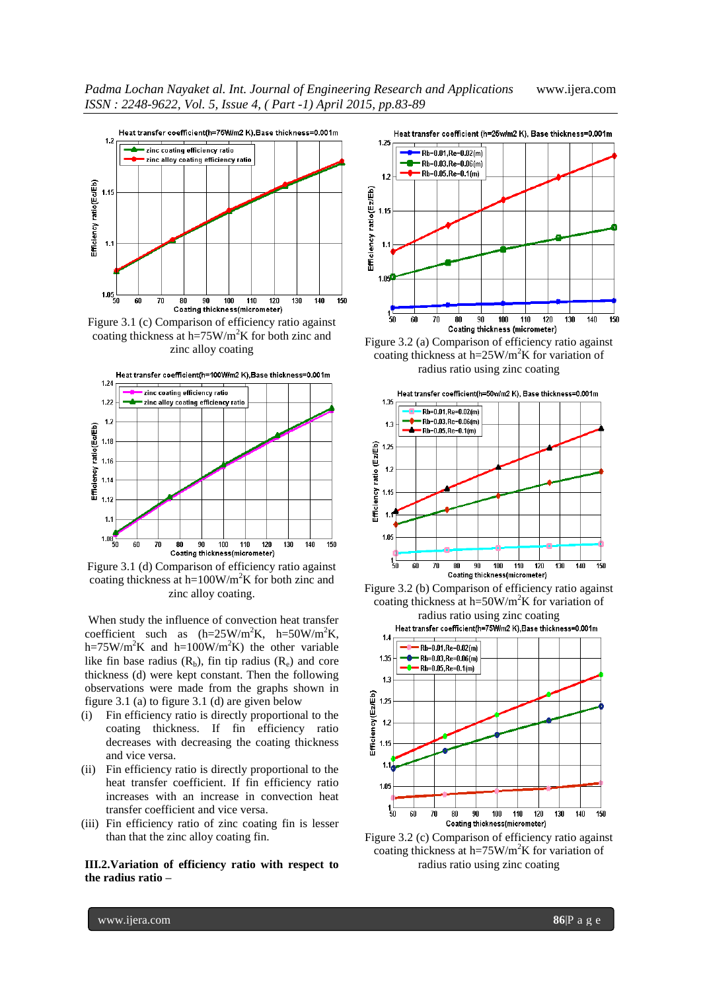*Padma Lochan Nayaket al. Int. Journal of Engineering Research and Applications* www.ijera.com *ISSN : 2248-9622, Vol. 5, Issue 4, ( Part -1) April 2015, pp.83-89*



Figure 3.1 (c) Comparison of efficiency ratio against coating thickness at h=75W/m<sup>2</sup>K for both zinc and zinc alloy coating



Figure 3.1 (d) Comparison of efficiency ratio against coating thickness at h=100W/m<sup>2</sup>K for both zinc and zinc alloy coating.

When study the influence of convection heat transfer coefficient such as  $(h=25W/m^2K, h=50W/m^2K,$ h=75W/m<sup>2</sup>K and h=100W/m<sup>2</sup>K) the other variable like fin base radius  $(R_b)$ , fin tip radius  $(R_e)$  and core thickness (d) were kept constant. Then the following observations were made from the graphs shown in figure 3.1 (a) to figure 3.1 (d) are given below

- (i) Fin efficiency ratio is directly proportional to the coating thickness. If fin efficiency ratio decreases with decreasing the coating thickness and vice versa.
- (ii) Fin efficiency ratio is directly proportional to the heat transfer coefficient. If fin efficiency ratio increases with an increase in convection heat transfer coefficient and vice versa.
- (iii) Fin efficiency ratio of zinc coating fin is lesser than that the zinc alloy coating fin.

**III.2.Variation of efficiency ratio with respect to the radius ratio –**



Figure 3.2 (a) Comparison of efficiency ratio against coating thickness at h= $25W/m^2K$  for variation of radius ratio using zinc coating







Figure 3.2 (c) Comparison of efficiency ratio against coating thickness at h=75W/m<sup>2</sup>K for variation of radius ratio using zinc coating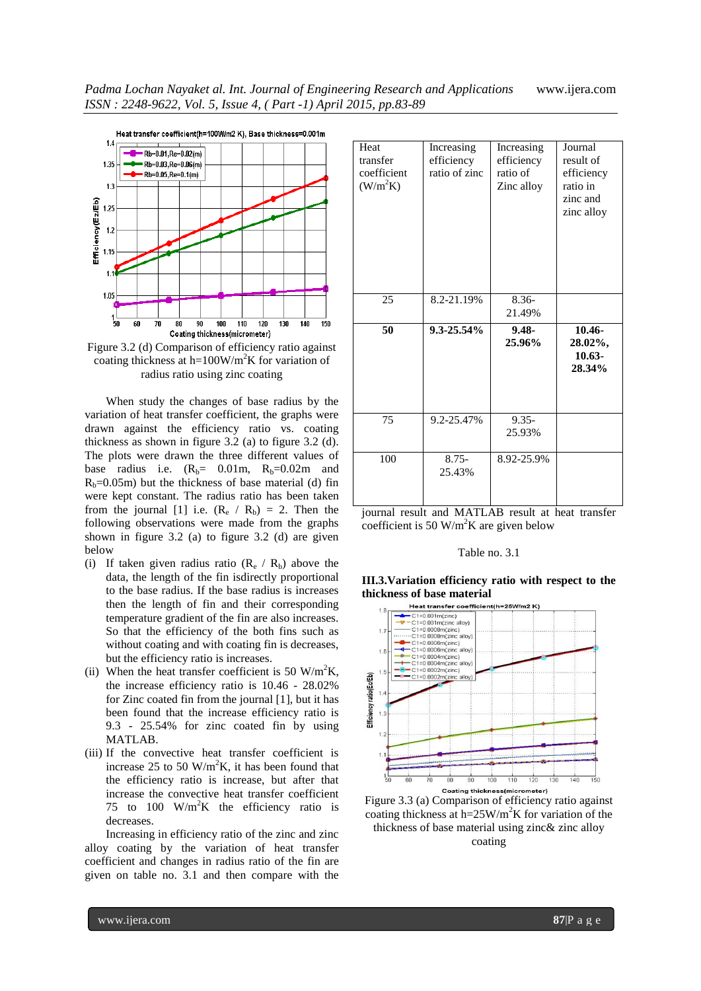*Padma Lochan Nayaket al. Int. Journal of Engineering Research and Applications* www.ijera.com *ISSN : 2248-9622, Vol. 5, Issue 4, ( Part -1) April 2015, pp.83-89*



Figure 3.2 (d) Comparison of efficiency ratio against coating thickness at h=100W/m<sup>2</sup>K for variation of radius ratio using zinc coating

When study the changes of base radius by the variation of heat transfer coefficient, the graphs were drawn against the efficiency ratio vs. coating thickness as shown in figure 3.2 (a) to figure 3.2 (d). The plots were drawn the three different values of base radius i.e.  $(R_b= 0.01m, R_b=0.02m$  and  $R_b=0.05$ m) but the thickness of base material (d) fin were kept constant. The radius ratio has been taken from the journal [1] i.e.  $(R_e / R_b) = 2$ . Then the following observations were made from the graphs shown in figure 3.2 (a) to figure 3.2 (d) are given below

- (i) If taken given radius ratio  $(R_e / R_b)$  above the data, the length of the fin isdirectly proportional to the base radius. If the base radius is increases then the length of fin and their corresponding temperature gradient of the fin are also increases. So that the efficiency of the both fins such as without coating and with coating fin is decreases, but the efficiency ratio is increases.
- (ii) When the heat transfer coefficient is 50 W/m<sup>2</sup>K, the increase efficiency ratio is 10.46 - 28.02% for Zinc coated fin from the journal [1], but it has been found that the increase efficiency ratio is 9.3 - 25.54% for zinc coated fin by using MATLAB.
- (iii) If the convective heat transfer coefficient is increase 25 to 50 W/m<sup>2</sup>K, it has been found that the efficiency ratio is increase, but after that increase the convective heat transfer coefficient 75 to 100  $W/m^2K$  the efficiency ratio is decreases.

Increasing in efficiency ratio of the zinc and zinc alloy coating by the variation of heat transfer coefficient and changes in radius ratio of the fin are given on table no. 3.1 and then compare with the

| Heat<br>transfer<br>coefficient<br>(W/m <sup>2</sup> K) | Increasing<br>efficiency<br>ratio of zinc | Increasing<br>efficiency<br>ratio of<br>Zinc alloy | Journal<br>result of<br>efficiency<br>ratio in<br>zinc and<br>zinc alloy |
|---------------------------------------------------------|-------------------------------------------|----------------------------------------------------|--------------------------------------------------------------------------|
| 25                                                      | 8.2-21.19%                                | $8.36-$<br>21.49%                                  |                                                                          |
| 50                                                      | 9.3-25.54%                                | $9.48 -$                                           | $10.46 -$                                                                |
|                                                         |                                           | 25.96%                                             | 28.02%,<br>$10.63 -$<br>28.34%                                           |
| 75                                                      | 9.2-25.47%                                | $9.35 -$<br>25.93%                                 |                                                                          |

iournal result and MATLAB result at heat transfer coefficient is 50 W/m<sup>2</sup>K are given below

### Table no. 3.1





Figure 3.3 (a) Comparison of efficiency ratio against coating thickness at h= $25W/m^2K$  for variation of the thickness of base material using zinc& zinc alloy coating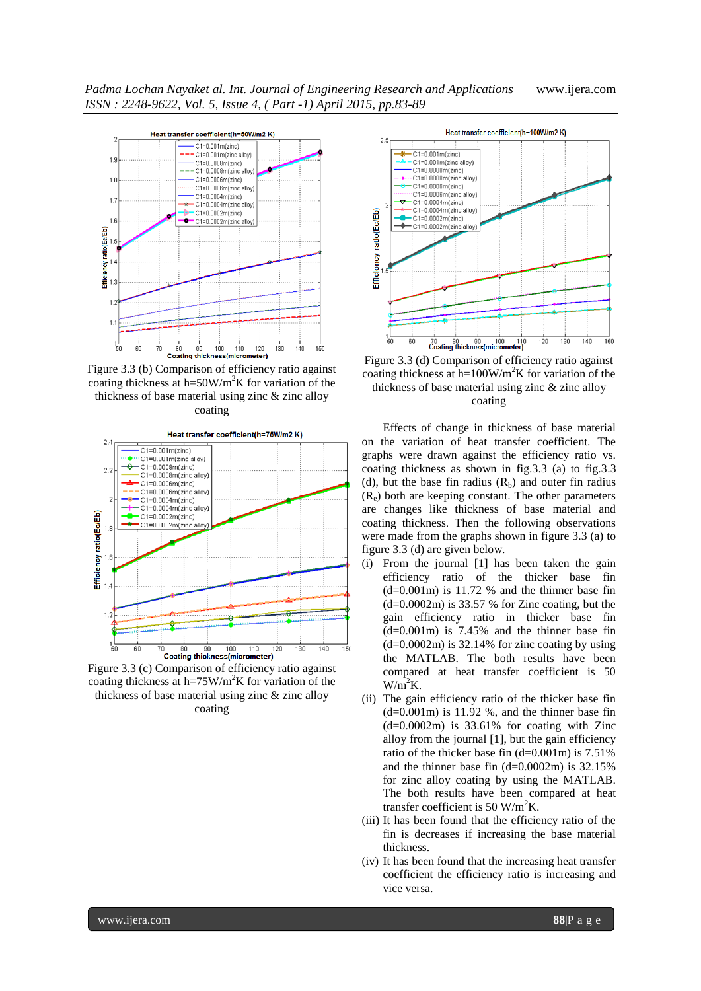

Figure 3.3 (b) Comparison of efficiency ratio against coating thickness at h=50W/m<sup>2</sup>K for variation of the thickness of base material using zinc & zinc alloy coating



Figure 3.3 (c) Comparison of efficiency ratio against coating thickness at h=75W/m<sup>2</sup>K for variation of the thickness of base material using zinc & zinc alloy coating



Figure 3.3 (d) Comparison of efficiency ratio against coating thickness at h=100W/m<sup>2</sup>K for variation of the thickness of base material using zinc & zinc alloy coating

Effects of change in thickness of base material on the variation of heat transfer coefficient. The graphs were drawn against the efficiency ratio vs. coating thickness as shown in fig.3.3 (a) to fig.3.3 (d), but the base fin radius  $(R_b)$  and outer fin radius  $(R_e)$  both are keeping constant. The other parameters are changes like thickness of base material and coating thickness. Then the following observations were made from the graphs shown in figure 3.3 (a) to figure 3.3 (d) are given below.

- (i) From the journal [1] has been taken the gain efficiency ratio of the thicker base fin  $(d=0.001m)$  is 11.72 % and the thinner base fin  $(d=0.0002m)$  is 33.57 % for Zinc coating, but the gain efficiency ratio in thicker base fin  $(d=0.001m)$  is 7.45% and the thinner base fin  $(d=0.0002m)$  is 32.14% for zinc coating by using the MATLAB. The both results have been compared at heat transfer coefficient is 50  $W/m<sup>2</sup>K$ .
- (ii) The gain efficiency ratio of the thicker base fin  $(d=0.001m)$  is 11.92 %, and the thinner base fin  $(d=0.0002m)$  is 33.61% for coating with Zinc alloy from the journal [1], but the gain efficiency ratio of the thicker base fin (d=0.001m) is 7.51% and the thinner base fin  $(d=0.0002m)$  is 32.15% for zinc alloy coating by using the MATLAB. The both results have been compared at heat transfer coefficient is 50 W/m<sup>2</sup>K.
- (iii) It has been found that the efficiency ratio of the fin is decreases if increasing the base material thickness.
- (iv) It has been found that the increasing heat transfer coefficient the efficiency ratio is increasing and vice versa.